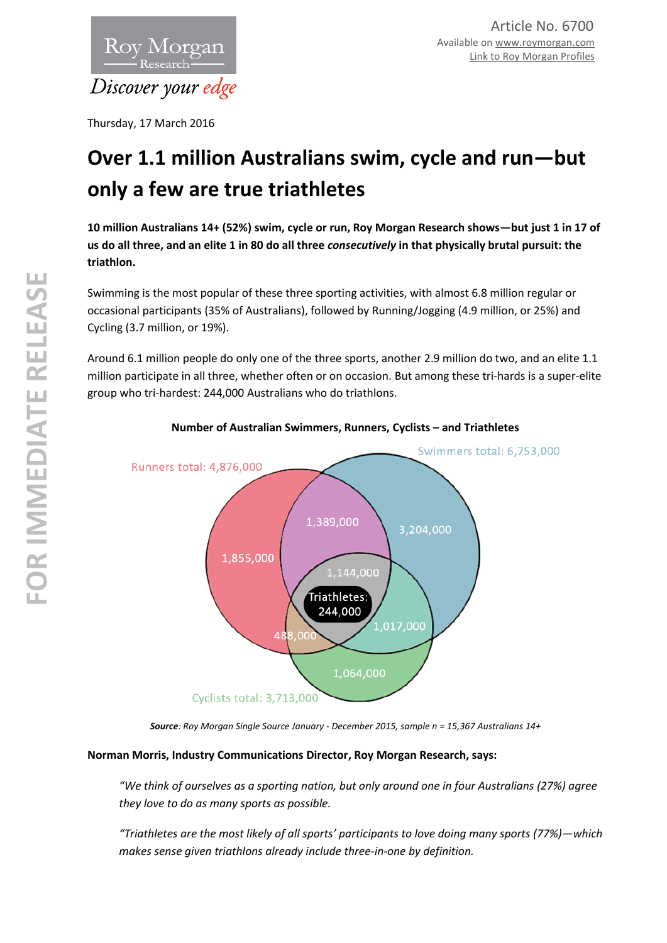

Thursday, 17 March 2016

# **Over 1.1 million Australians swim, cycle and run—but only a few are true triathletes**

**10 million Australians 14+ (52%) swim, cycle or run, Roy Morgan Research shows—but just 1 in 17 of us do all three, and an elite 1 in 80 do all three** *consecutively* **in that physically brutal pursuit: the triathlon.** 

Swimming is the most popular of these three sporting activities, with almost 6.8 million regular or occasional participants (35% of Australians), followed by Running/Jogging (4.9 million, or 25%) and Cycling (3.7 million, or 19%).

Around 6.1 million people do only one of the three sports, another 2.9 million do two, and an elite 1.1 million participate in all three, whether often or on occasion. But among these tri-hards is a super-elite group who tri-hardest: 244,000 Australians who do triathlons.



**Number of Australian Swimmers, Runners, Cyclists – and Triathletes** 

*Source: Roy Morgan Single Source January - December 2015, sample n = 15,367 Australians 14+* 

# **Norman Morris, Industry Communications Director, Roy Morgan Research, says:**

*"We think of ourselves as a sporting nation, but only around one in four Australians (27%) agree they love to do as many sports as possible.* 

*"Triathletes are the most likely of all sports' participants to love doing many sports (77%)—which makes sense given triathlons already include three-in-one by definition.*